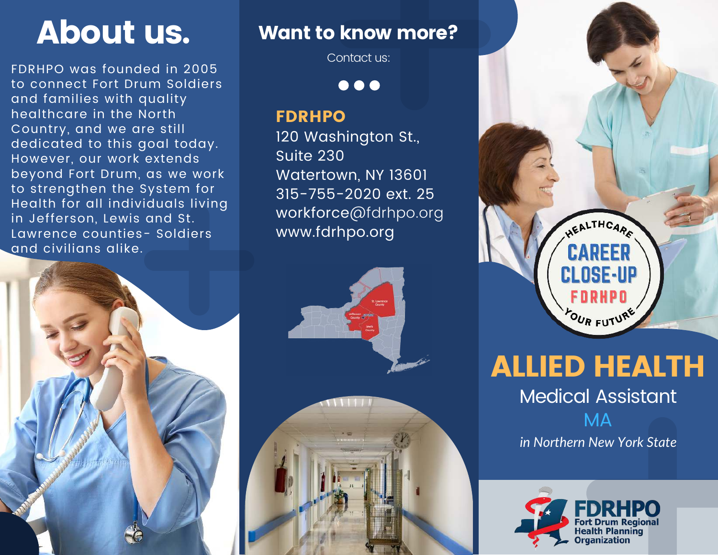FDRHPO was founded in 2005 to connect Fort Drum Soldiers and families with quality healthcare in the North Country, and we are still dedicated to this goal today. However, our work extends beyond Fort Drum, as we work to strengthen the System for Health for all individuals living in Jefferson, Lewis and St. Lawrence counties- Soldiers and civilians alike.



## About us. Want to know more?

Contact us:

 $\bullet\bullet\bullet$ 

### FDRHPO

120 Washington St., Suite 230 Watertown, NY 13601 315-755-2020 ext. 25 workforce@fdrhpo.org www.fdrhpo.org